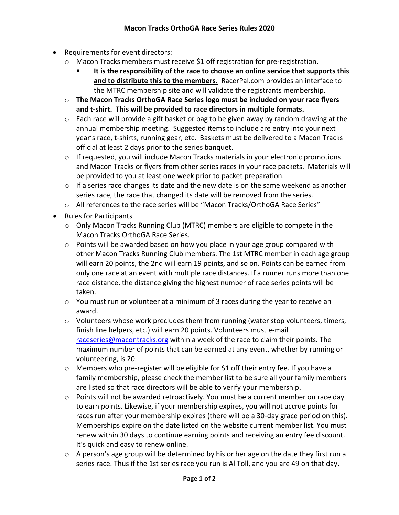## **Macon Tracks OrthoGA Race Series Rules 2020**

- Requirements for event directors:
	- $\circ$  Macon Tracks members must receive \$1 off registration for pre-registration.
		- **It is the responsibility of the race to choose an online service that supports this and to distribute this to the members**. RacerPal.com provides an interface to the MTRC membership site and will validate the registrants membership.
	- o **The Macon Tracks OrthoGA Race Series logo must be included on your race flyers and t-shirt. This will be provided to race directors in multiple formats.**
	- $\circ$  Each race will provide a gift basket or bag to be given away by random drawing at the annual membership meeting. Suggested items to include are entry into your next year's race, t-shirts, running gear, etc. Baskets must be delivered to a Macon Tracks official at least 2 days prior to the series banquet.
	- o If requested, you will include Macon Tracks materials in your electronic promotions and Macon Tracks or flyers from other series races in your race packets. Materials will be provided to you at least one week prior to packet preparation.
	- $\circ$  If a series race changes its date and the new date is on the same weekend as another series race, the race that changed its date will be removed from the series.
	- o All references to the race series will be "Macon Tracks/OrthoGA Race Series"
- Rules for Participants
	- o Only Macon Tracks Running Club (MTRC) members are eligible to compete in the Macon Tracks OrthoGA Race Series.
	- o Points will be awarded based on how you place in your age group compared with other Macon Tracks Running Club members. The 1st MTRC member in each age group will earn 20 points, the 2nd will earn 19 points, and so on. Points can be earned from only one race at an event with multiple race distances. If a runner runs more than one race distance, the distance giving the highest number of race series points will be taken.
	- $\circ$  You must run or volunteer at a minimum of 3 races during the year to receive an award.
	- $\circ$  Volunteers whose work precludes them from running (water stop volunteers, timers, finish line helpers, etc.) will earn 20 points. Volunteers must e-mail [raceseries@macontracks.org](mailto:raceseries@macontracks.org) within a week of the race to claim their points. The maximum number of points that can be earned at any event, whether by running or volunteering, is 20.
	- o Members who pre-register will be eligible for \$1 off their entry fee. If you have a family membership, please check the member list to be sure all your family members are listed so that race directors will be able to verify your membership.
	- o Points will not be awarded retroactively. You must be a current member on race day to earn points. Likewise, if your membership expires, you will not accrue points for races run after your membership expires (there will be a 30-day grace period on this). Memberships expire on the date listed on the website current member list. You must renew within 30 days to continue earning points and receiving an entry fee discount. It's quick and easy to renew online.
	- o A person's age group will be determined by his or her age on the date they first run a series race. Thus if the 1st series race you run is Al Toll, and you are 49 on that day,